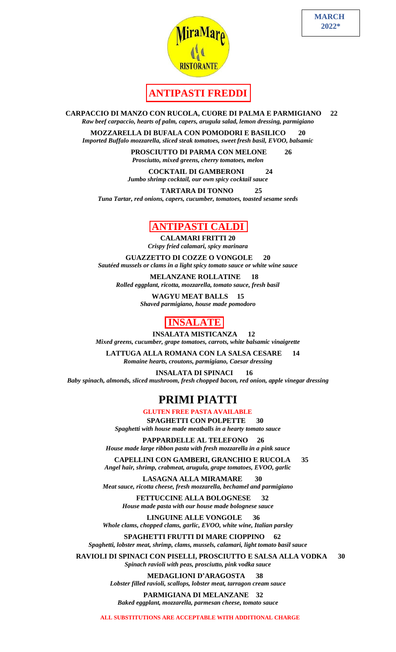



## **ANTIPASTI FREDDI**

 **CARPACCIO DI MANZO CON RUCOLA, CUORE DI PALMA E PARMIGIANO 22** *Raw beef carpaccio, hearts of palm, capers, arugula salad, lemon dressing, parmigiano*

**MOZZARELLA DI BUFALA CON POMODORI E BASILICO 20** *Imported Buffalo mozzarella, sliced steak tomatoes, sweet fresh basil, EVOO, balsamic*

> **PROSCIUTTO DI PARMA CON MELONE 26** *Prosciutto, mixed greens, cherry tomatoes, melon*

 **COCKTAIL DI GAMBERONI 24** *Jumbo shrimp cocktail, our own spicy cocktail sauce*

 **TARTARA DI TONNO 25** *Tuna Tartar, red onions, capers, cucumber, tomatoes, toasted sesame seeds*

#### **ANTIPASTI CALDI**

 **CALAMARI FRITTI 20** *Crispy fried calamari, spicy marinara* 

**GUAZZETTO DI COZZE O VONGOLE 20** *Sautéed mussels or clams in a light spicy tomato sauce or white wine sauce*

 **MELANZANE ROLLATINE 18** *Rolled eggplant, ricotta, mozzarella, tomato sauce, fresh basil*

> **WAGYU MEAT BALLS 15** *Shaved parmigiano, house made pomodoro*

#### **INSALATE**

 **INSALATA MISTICANZA 12** *Mixed greens, cucumber, grape tomatoes, carrots, white balsamic vinaigrette*

 **LATTUGA ALLA ROMANA CON LA SALSA CESARE 14** *Romaine hearts, croutons, parmigiano, Caesar dressing*

 **INSALATA DI SPINACI 16** *Baby spinach, almonds, sliced mushroom, fresh chopped bacon, red onion, apple vinegar dressing*

# **PRIMI PIATTI**

 **GLUTEN FREE PASTA AVAILABLE**

 **SPAGHETTI CON POLPETTE 30** *Spaghetti with house made meatballs in a hearty tomato sauce*

 **PAPPARDELLE AL TELEFONO 26** *House made large ribbon pasta with fresh mozzarella in a pink sauce*

 **CAPELLINI CON GAMBERI, GRANCHIO E RUCOLA 35** *Angel hair, shrimp, crabmeat, arugula, grape tomatoes, EVOO, garlic*

 **LASAGNA ALLA MIRAMARE 30** *Meat sauce, ricotta cheese, fresh mozzarella, bechamel and parmigiano*

> **FETTUCCINE ALLA BOLOGNESE 32** *House made pasta with our house made bolognese sauce*

 **LINGUINE ALLE VONGOLE 36** *Whole clams, chopped clams, garlic, EVOO, white wine, Italian parsley*

 **SPAGHETTI FRUTTI DI MARE CIOPPINO 62** *Spaghetti, lobster meat, shrimp, clams, mussels, calamari, light tomato basil sauce*

 **RAVIOLI DI SPINACI CON PISELLI, PROSCIUTTO E SALSA ALLA VODKA 30** *Spinach ravioli with peas, prosciutto, pink vodka sauce*

> **MEDAGLIONI D'ARAGOSTA 38** *Lobster filled ravioli, scallops, lobster meat, tarragon cream sauce*

 **PARMIGIANA DI MELANZANE 32** *Baked eggplant, mozzarella, parmesan cheese, tomato sauce*

 **ALL SUBSTITUTIONS ARE ACCEPTABLE WITH ADDITIONAL CHARGE**